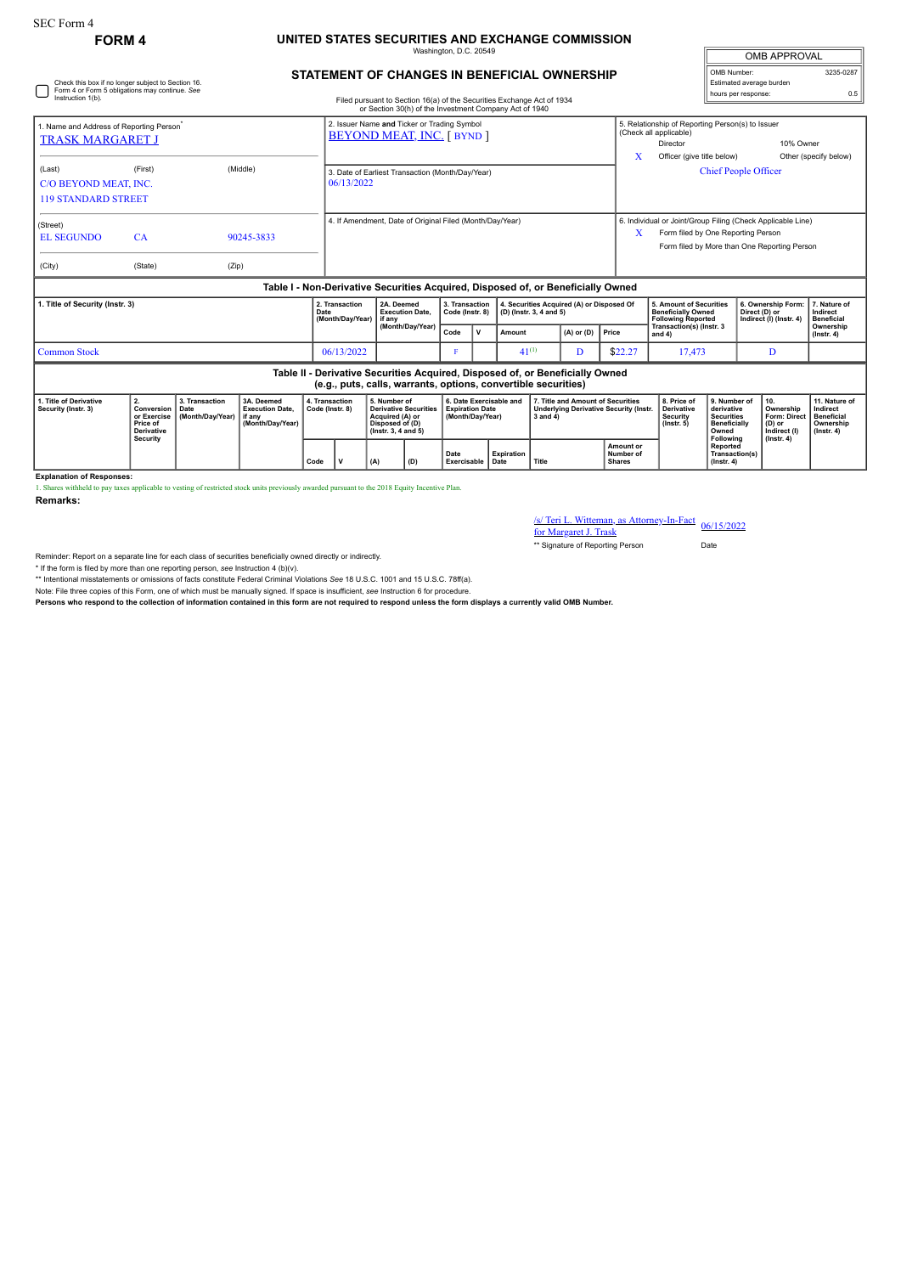## **FORM 4 UNITED STATES SECURITIES AND EXCHANGE COMMISSION** Washington, D.C. 20549

**STATEMENT OF CHANGES IN BENEFICIAL OWNERSHIP**

| <b>OMB APPROVAL</b>      |           |  |  |  |  |  |  |  |
|--------------------------|-----------|--|--|--|--|--|--|--|
| OMB Number:              | 3235-0287 |  |  |  |  |  |  |  |
| Estimated average burden |           |  |  |  |  |  |  |  |
| hours per response:      | ሰ 5       |  |  |  |  |  |  |  |

| Check this box if no longer subject to Section 16.<br>Form 4 or Form 5 obligations may continue. See<br>Instruction 1(b).<br>Filed pursuant to Section 16(a) of the Securities Exchange Act of 1934<br>or Section 30(h) of the Investment Company Act of 1940 |                                                                  |                                            |                                                                                  |      |                                                                                |                            |                                                                                                              |                                   |                                                                       |                                                                      |                                                                                                    |                                                                               |                                                                    |                                                                                                                                                            | Estimated average burden<br>hours per response:                                 |                                                                |                                                            | 0.5                                                                             |  |
|---------------------------------------------------------------------------------------------------------------------------------------------------------------------------------------------------------------------------------------------------------------|------------------------------------------------------------------|--------------------------------------------|----------------------------------------------------------------------------------|------|--------------------------------------------------------------------------------|----------------------------|--------------------------------------------------------------------------------------------------------------|-----------------------------------|-----------------------------------------------------------------------|----------------------------------------------------------------------|----------------------------------------------------------------------------------------------------|-------------------------------------------------------------------------------|--------------------------------------------------------------------|------------------------------------------------------------------------------------------------------------------------------------------------------------|---------------------------------------------------------------------------------|----------------------------------------------------------------|------------------------------------------------------------|---------------------------------------------------------------------------------|--|
| 1. Name and Address of Reporting Person<br><b>TRASK MARGARET J</b>                                                                                                                                                                                            |                                                                  |                                            |                                                                                  |      | 2. Issuer Name and Ticker or Trading Symbol<br><b>BEYOND MEAT, INC.</b> [BYND] |                            |                                                                                                              |                                   |                                                                       |                                                                      |                                                                                                    |                                                                               | X                                                                  | 5. Relationship of Reporting Person(s) to Issuer<br>(Check all applicable)<br>10% Owner<br>Director<br>Officer (give title below)<br>Other (specify below) |                                                                                 |                                                                |                                                            |                                                                                 |  |
| (Last)<br>C/O BEYOND MEAT, INC.<br><b>119 STANDARD STREET</b>                                                                                                                                                                                                 | (First)                                                          |                                            | (Middle)                                                                         |      | 3. Date of Earliest Transaction (Month/Day/Year)<br>06/13/2022                 |                            |                                                                                                              |                                   |                                                                       |                                                                      |                                                                                                    |                                                                               |                                                                    | <b>Chief People Officer</b>                                                                                                                                |                                                                                 |                                                                |                                                            |                                                                                 |  |
| (Street)<br><b>EL SEGUNDO</b>                                                                                                                                                                                                                                 | CA                                                               |                                            | 90245-3833                                                                       |      | 4. If Amendment, Date of Original Filed (Month/Day/Year)                       |                            |                                                                                                              |                                   |                                                                       |                                                                      |                                                                                                    |                                                                               | X                                                                  | 6. Individual or Joint/Group Filing (Check Applicable Line)<br>Form filed by One Reporting Person<br>Form filed by More than One Reporting Person          |                                                                                 |                                                                |                                                            |                                                                                 |  |
| (City)                                                                                                                                                                                                                                                        | (State)                                                          | (Zip)                                      | Table I - Non-Derivative Securities Acquired, Disposed of, or Beneficially Owned |      |                                                                                |                            |                                                                                                              |                                   |                                                                       |                                                                      |                                                                                                    |                                                                               |                                                                    |                                                                                                                                                            |                                                                                 |                                                                |                                                            |                                                                                 |  |
| 1. Title of Security (Instr. 3)                                                                                                                                                                                                                               |                                                                  |                                            |                                                                                  | Date | 2. Transaction<br>(Month/Day/Year)                                             | if anv                     | 2A. Deemed<br><b>Execution Date.</b>                                                                         | 3. Transaction<br>Code (Instr. 8) |                                                                       | 4. Securities Acquired (A) or Disposed Of<br>(D) (Instr. 3, 4 and 5) |                                                                                                    |                                                                               |                                                                    | 5. Amount of Securities<br><b>Beneficially Owned</b><br><b>Following Reported</b>                                                                          |                                                                                 | 6. Ownership Form:<br>Direct (D) or<br>Indirect (I) (Instr. 4) |                                                            | 7. Nature of<br>Indirect<br><b>Beneficial</b>                                   |  |
|                                                                                                                                                                                                                                                               |                                                                  |                                            |                                                                                  |      |                                                                                |                            | (Month/Day/Year)                                                                                             |                                   | v                                                                     | Amount                                                               |                                                                                                    | $(A)$ or $(D)$                                                                | Price                                                              | Transaction(s) (Instr. 3<br>and 4)                                                                                                                         |                                                                                 |                                                                |                                                            | Ownership<br>$($ lnstr. 4 $)$                                                   |  |
| <b>Common Stock</b>                                                                                                                                                                                                                                           |                                                                  |                                            |                                                                                  |      | 06/13/2022                                                                     |                            |                                                                                                              |                                   | $41^{(1)}$                                                            |                                                                      | D                                                                                                  | \$22.27                                                                       | 17,473                                                             |                                                                                                                                                            |                                                                                 | D                                                              |                                                            |                                                                                 |  |
|                                                                                                                                                                                                                                                               |                                                                  |                                            |                                                                                  |      |                                                                                |                            | (e.g., puts, calls, warrants, options, convertible securities)                                               |                                   |                                                                       |                                                                      |                                                                                                    | Table II - Derivative Securities Acquired, Disposed of, or Beneficially Owned |                                                                    |                                                                                                                                                            |                                                                                 |                                                                |                                                            |                                                                                 |  |
| 1. Title of Derivative<br>Security (Instr. 3)                                                                                                                                                                                                                 | 2.<br>Conversion<br>or Exercise<br>Price of<br><b>Derivative</b> | 3. Transaction<br>Date<br>(Month/Day/Year) | 3A. Deemed<br><b>Execution Date,</b><br>if anv<br>(Month/Day/Year)               |      | 4. Transaction<br>Code (Instr. 8)                                              |                            | 5. Number of<br><b>Derivative Securities</b><br>Acquired (A) or<br>Disposed of (D)<br>$($ lnstr. 3. 4 and 5) |                                   | 6. Date Exercisable and<br><b>Expiration Date</b><br>(Month/Day/Year) |                                                                      | 7. Title and Amount of Securities<br><b>Underlying Derivative Security (Instr.</b><br>$3$ and $4)$ |                                                                               |                                                                    | 8. Price of<br><b>Derivative</b><br><b>Security</b><br>$($ lnstr $, 5)$                                                                                    | 9. Number of<br>derivative<br><b>Securities</b><br><b>Beneficially</b><br>Owned |                                                                | 10.<br>Ownership<br>Form: Direct<br>(D) or<br>Indirect (I) | 11. Nature of<br>Indirect<br><b>Beneficial</b><br>Ownership<br>$($ lnstr. 4 $)$ |  |
|                                                                                                                                                                                                                                                               | <b>Security</b>                                                  |                                            |                                                                                  | Code | v                                                                              | Date<br>Exercisable   Date |                                                                                                              | Expiration                        | Title                                                                 |                                                                      | Amount or<br>Number of<br><b>Shares</b>                                                            |                                                                               | Following<br><b>Reported</b><br>Transaction(s)<br>$($ lnstr $, 4)$ |                                                                                                                                                            | $($ lnstr. 4 $)$                                                                |                                                                |                                                            |                                                                                 |  |

**Explanation of Responses:**

1. Shares withheld to pay taxes applicable to vesting of restricted stock units previously awarded pursuant to the 2018 Equity Incentive Plan.

**Remarks:**

/s/ Teri L. Witteman, as Attorney-In-Fact for Margaret J. Trask 06/15/2022

\*\* Signature of Reporting Person Date

Reminder: Report on a separate line for each class of securities beneficially owned directly or indirectly.

\* If the form is filed by more than one reporting person, *see* Instruction 4 (b)(v).

\*\* Intentional misstatements or omissions of facts constitute Federal Criminal Violations *See* 18 U.S.C. 1001 and 15 U.S.C. 78ff(a).

Note: File three copies of this Form, one of which must be manually signed. If space is insufficient, *see* Instruction 6 for procedure.

**Persons who respond to the collection of information contained in this form are not required to respond unless the form displays a currently valid OMB Number.**